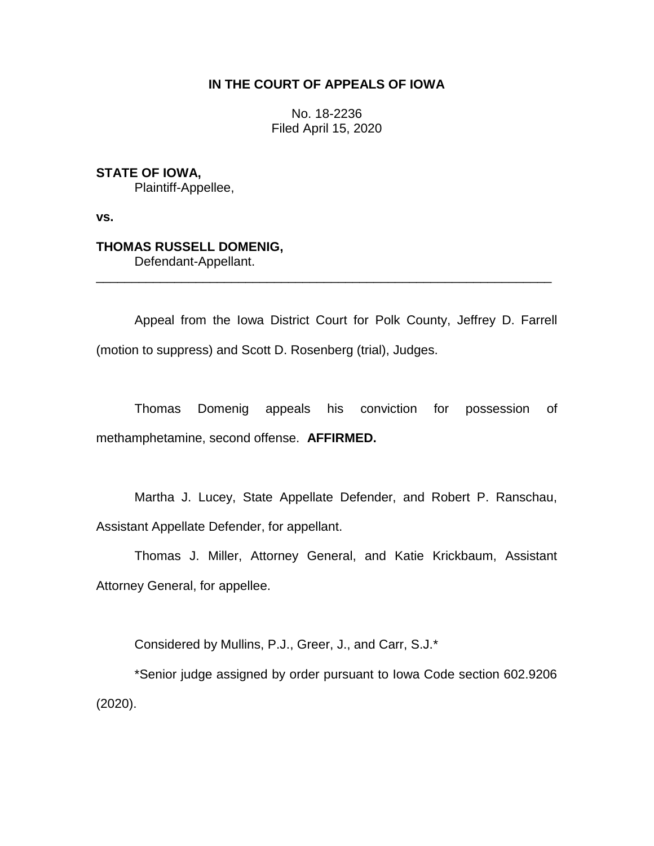## **IN THE COURT OF APPEALS OF IOWA**

No. 18-2236 Filed April 15, 2020

**STATE OF IOWA,**

Plaintiff-Appellee,

**vs.**

## **THOMAS RUSSELL DOMENIG,**

Defendant-Appellant.

Appeal from the Iowa District Court for Polk County, Jeffrey D. Farrell (motion to suppress) and Scott D. Rosenberg (trial), Judges.

\_\_\_\_\_\_\_\_\_\_\_\_\_\_\_\_\_\_\_\_\_\_\_\_\_\_\_\_\_\_\_\_\_\_\_\_\_\_\_\_\_\_\_\_\_\_\_\_\_\_\_\_\_\_\_\_\_\_\_\_\_\_\_\_

Thomas Domenig appeals his conviction for possession of methamphetamine, second offense. **AFFIRMED.**

Martha J. Lucey, State Appellate Defender, and Robert P. Ranschau, Assistant Appellate Defender, for appellant.

Thomas J. Miller, Attorney General, and Katie Krickbaum, Assistant Attorney General, for appellee.

Considered by Mullins, P.J., Greer, J., and Carr, S.J.\*

\*Senior judge assigned by order pursuant to Iowa Code section 602.9206 (2020).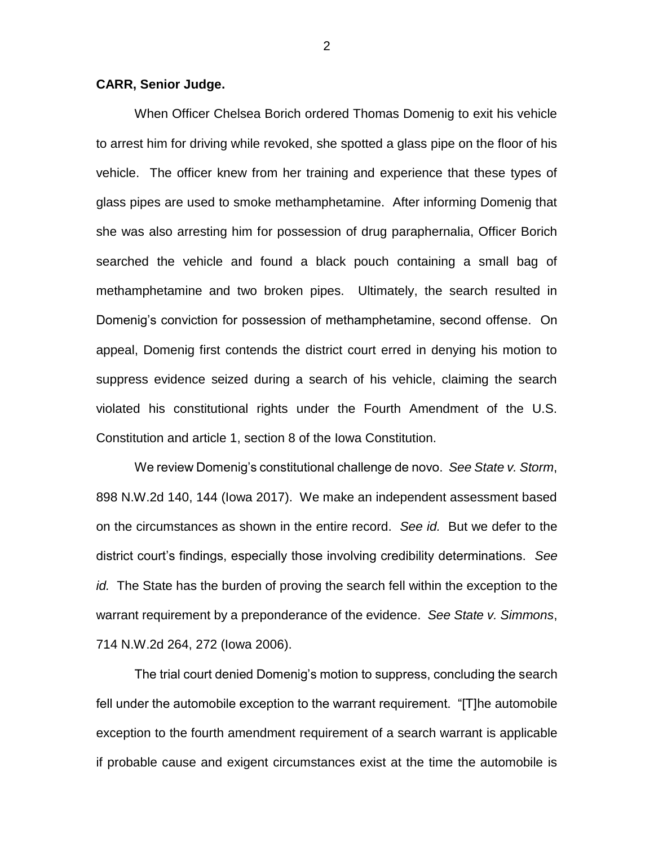## **CARR, Senior Judge.**

When Officer Chelsea Borich ordered Thomas Domenig to exit his vehicle to arrest him for driving while revoked, she spotted a glass pipe on the floor of his vehicle. The officer knew from her training and experience that these types of glass pipes are used to smoke methamphetamine. After informing Domenig that she was also arresting him for possession of drug paraphernalia, Officer Borich searched the vehicle and found a black pouch containing a small bag of methamphetamine and two broken pipes. Ultimately, the search resulted in Domenig's conviction for possession of methamphetamine, second offense. On appeal, Domenig first contends the district court erred in denying his motion to suppress evidence seized during a search of his vehicle, claiming the search violated his constitutional rights under the Fourth Amendment of the U.S. Constitution and article 1, section 8 of the Iowa Constitution.

We review Domenig's constitutional challenge de novo. *See State v. Storm*, 898 N.W.2d 140, 144 (Iowa 2017). We make an independent assessment based on the circumstances as shown in the entire record. *See id.* But we defer to the district court's findings, especially those involving credibility determinations. *See id.* The State has the burden of proving the search fell within the exception to the warrant requirement by a preponderance of the evidence. *See State v. Simmons*, 714 N.W.2d 264, 272 (Iowa 2006).

The trial court denied Domenig's motion to suppress, concluding the search fell under the automobile exception to the warrant requirement. "[T]he automobile exception to the fourth amendment requirement of a search warrant is applicable if probable cause and exigent circumstances exist at the time the automobile is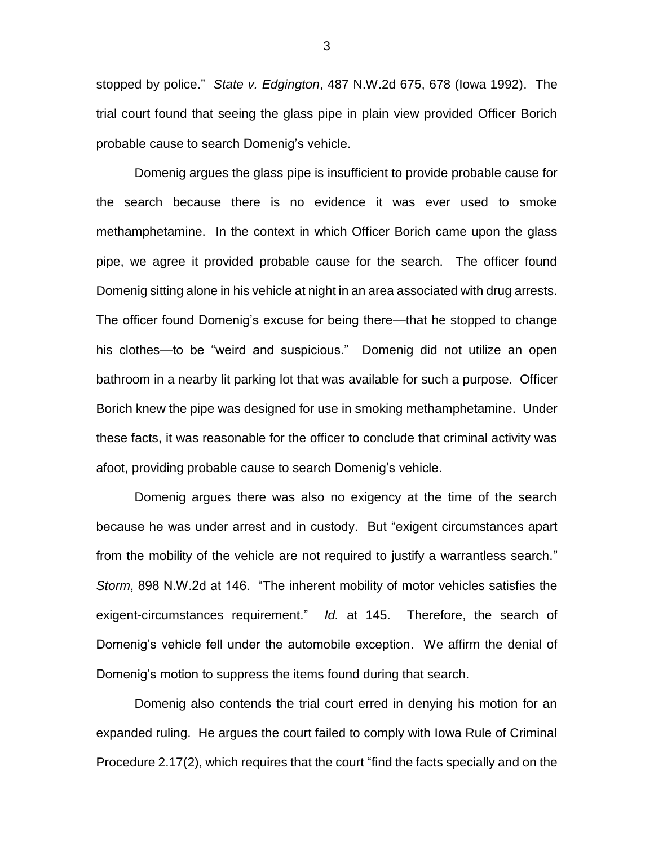stopped by police." *State v. Edgington*, 487 N.W.2d 675, 678 (Iowa 1992). The trial court found that seeing the glass pipe in plain view provided Officer Borich probable cause to search Domenig's vehicle.

Domenig argues the glass pipe is insufficient to provide probable cause for the search because there is no evidence it was ever used to smoke methamphetamine. In the context in which Officer Borich came upon the glass pipe, we agree it provided probable cause for the search. The officer found Domenig sitting alone in his vehicle at night in an area associated with drug arrests. The officer found Domenig's excuse for being there—that he stopped to change his clothes—to be "weird and suspicious." Domenig did not utilize an open bathroom in a nearby lit parking lot that was available for such a purpose. Officer Borich knew the pipe was designed for use in smoking methamphetamine. Under these facts, it was reasonable for the officer to conclude that criminal activity was afoot, providing probable cause to search Domenig's vehicle.

Domenig argues there was also no exigency at the time of the search because he was under arrest and in custody. But "exigent circumstances apart from the mobility of the vehicle are not required to justify a warrantless search." *Storm*, 898 N.W.2d at 146. "The inherent mobility of motor vehicles satisfies the exigent-circumstances requirement." *Id.* at 145. Therefore, the search of Domenig's vehicle fell under the automobile exception. We affirm the denial of Domenig's motion to suppress the items found during that search.

Domenig also contends the trial court erred in denying his motion for an expanded ruling. He argues the court failed to comply with Iowa Rule of Criminal Procedure 2.17(2), which requires that the court "find the facts specially and on the

3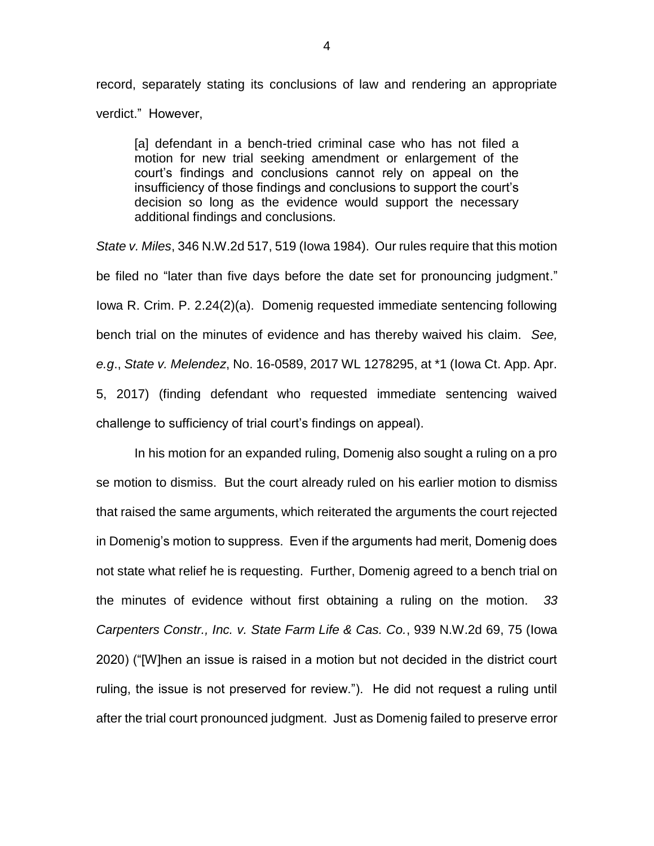record, separately stating its conclusions of law and rendering an appropriate verdict." However,

[a] defendant in a bench-tried criminal case who has not filed a motion for new trial seeking amendment or enlargement of the court's findings and conclusions cannot rely on appeal on the insufficiency of those findings and conclusions to support the court's decision so long as the evidence would support the necessary additional findings and conclusions.

*State v. Miles*, 346 N.W.2d 517, 519 (Iowa 1984). Our rules require that this motion be filed no "later than five days before the date set for pronouncing judgment." Iowa R. Crim. P. 2.24(2)(a). Domenig requested immediate sentencing following bench trial on the minutes of evidence and has thereby waived his claim. *See, e.g*., *State v. Melendez*, No. 16-0589, 2017 WL 1278295, at \*1 (Iowa Ct. App. Apr. 5, 2017) (finding defendant who requested immediate sentencing waived challenge to sufficiency of trial court's findings on appeal).

In his motion for an expanded ruling, Domenig also sought a ruling on a pro se motion to dismiss. But the court already ruled on his earlier motion to dismiss that raised the same arguments, which reiterated the arguments the court rejected in Domenig's motion to suppress. Even if the arguments had merit, Domenig does not state what relief he is requesting. Further, Domenig agreed to a bench trial on the minutes of evidence without first obtaining a ruling on the motion. *33 Carpenters Constr., Inc. v. State Farm Life & Cas. Co.*, 939 N.W.2d 69, 75 (Iowa 2020) ("[W]hen an issue is raised in a motion but not decided in the district court ruling, the issue is not preserved for review."). He did not request a ruling until after the trial court pronounced judgment. Just as Domenig failed to preserve error

4